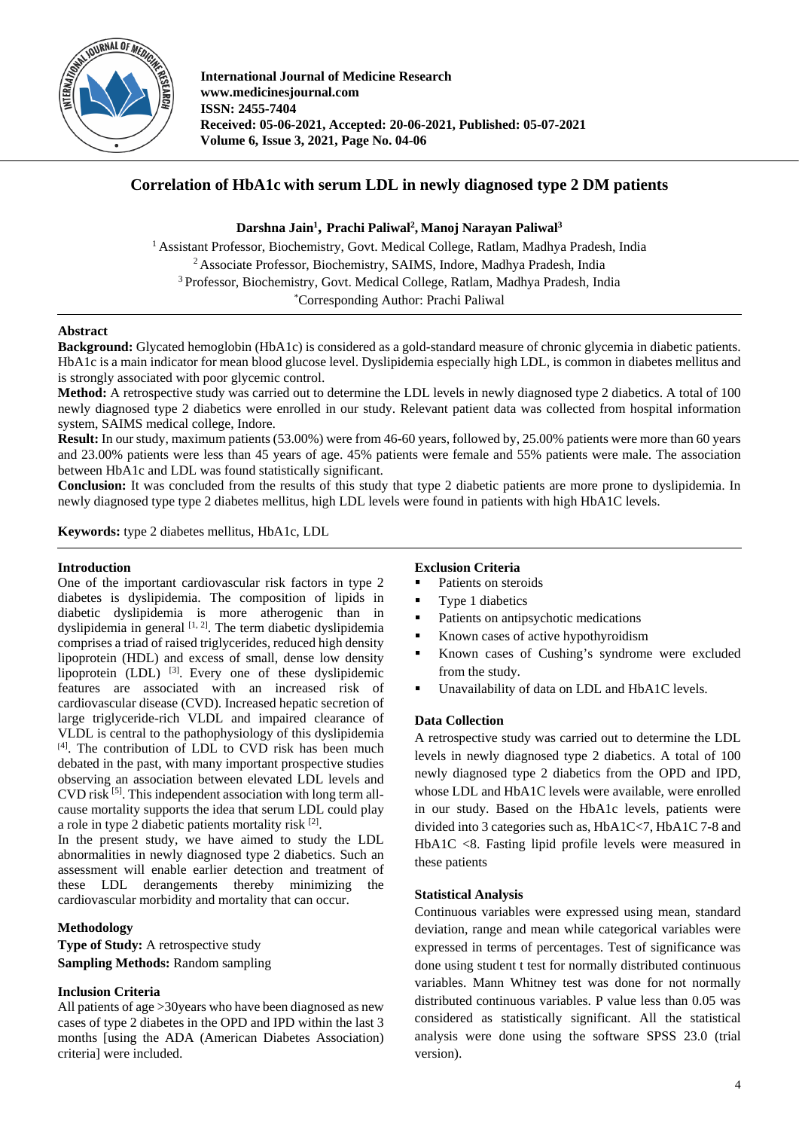

**International Journal of Medicine Research www.medicinesjournal.com ISSN: 2455-7404 Received: 05-06-2021, Accepted: 20-06-2021, Published: 05-07-2021 Volume 6, Issue 3, 2021, Page No. 04-06**

# **Correlation of HbA1c with serum LDL in newly diagnosed type 2 DM patients**

# **Darshna Jain1 , Prachi Paliwal2 , Manoj Narayan Paliwal3**

<sup>1</sup> Assistant Professor, Biochemistry, Govt. Medical College, Ratlam, Madhya Pradesh, India 2 Associate Professor, Biochemistry, SAIMS, Indore, Madhya Pradesh, India 3 Professor, Biochemistry, Govt. Medical College, Ratlam, Madhya Pradesh, India \* Corresponding Author: Prachi Paliwal

## **Abstract**

**Background:** Glycated hemoglobin (HbA1c) is considered as a gold-standard measure of chronic glycemia in diabetic patients. HbA1c is a main indicator for mean blood glucose level. Dyslipidemia especially high LDL, is common in diabetes mellitus and is strongly associated with poor glycemic control.

**Method:** A retrospective study was carried out to determine the LDL levels in newly diagnosed type 2 diabetics. A total of 100 newly diagnosed type 2 diabetics were enrolled in our study. Relevant patient data was collected from hospital information system, SAIMS medical college, Indore.

**Result:** In our study, maximum patients (53.00%) were from 46-60 years, followed by, 25.00% patients were more than 60 years and 23.00% patients were less than 45 years of age. 45% patients were female and 55% patients were male. The association between HbA1c and LDL was found statistically significant.

**Conclusion:** It was concluded from the results of this study that type 2 diabetic patients are more prone to dyslipidemia. In newly diagnosed type type 2 diabetes mellitus, high LDL levels were found in patients with high HbA1C levels.

**Keywords:** type 2 diabetes mellitus, HbA1c, LDL

### **Introduction**

One of the important cardiovascular risk factors in type 2 diabetes is dyslipidemia. The composition of lipids in diabetic dyslipidemia is more atherogenic than in dyslipidemia in general  $[1, 2]$ . The term diabetic dyslipidemia comprises a triad of raised triglycerides, reduced high density lipoprotein (HDL) and excess of small, dense low density lipoprotein (LDL) [3]. Every one of these dyslipidemic features are associated with an increased risk of cardiovascular disease (CVD). Increased hepatic secretion of large triglyceride-rich VLDL and impaired clearance of VLDL is central to the pathophysiology of this dyslipidemia  $[4]$ . The contribution of LDL to CVD risk has been much debated in the past, with many important prospective studies observing an association between elevated LDL levels and CVD risk [5] . This independent association with long term allcause mortality supports the idea that serum LDL could play a role in type 2 diabetic patients mortality risk  $[2]$ .

In the present study, we have aimed to study the LDL abnormalities in newly diagnosed type 2 diabetics. Such an assessment will enable earlier detection and treatment of these LDL derangements thereby minimizing the cardiovascular morbidity and mortality that can occur.

## **Methodology**

**Type of Study:** A retrospective study **Sampling Methods:** Random sampling

## **Inclusion Criteria**

All patients of age > 30 years who have been diagnosed as new cases of type 2 diabetes in the OPD and IPD within the last 3 months [using the ADA (American Diabetes Association) criteria] were included.

## **Exclusion Criteria**

- Patients on steroids
- Type 1 diabetics
- Patients on antipsychotic medications
- Known cases of active hypothyroidism
- Known cases of Cushing's syndrome were excluded from the study.
- Unavailability of data on LDL and HbA1C levels.

## **Data Collection**

A retrospective study was carried out to determine the LDL levels in newly diagnosed type 2 diabetics. A total of 100 newly diagnosed type 2 diabetics from the OPD and IPD, whose LDL and HbA1C levels were available, were enrolled in our study. Based on the HbA1c levels, patients were divided into 3 categories such as, HbA1C<7, HbA1C 7-8 and HbA1C <8. Fasting lipid profile levels were measured in these patients

#### **Statistical Analysis**

Continuous variables were expressed using mean, standard deviation, range and mean while categorical variables were expressed in terms of percentages. Test of significance was done using student t test for normally distributed continuous variables. Mann Whitney test was done for not normally distributed continuous variables. P value less than 0.05 was considered as statistically significant. All the statistical analysis were done using the software SPSS 23.0 (trial version).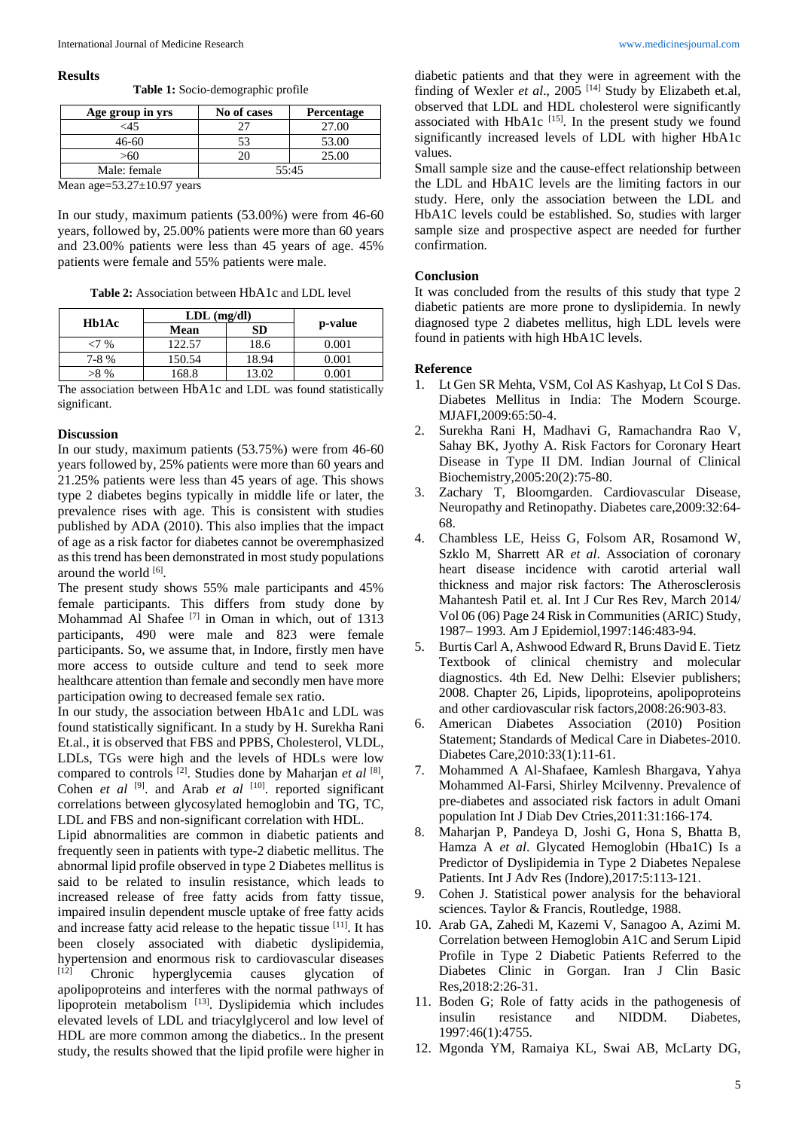#### **Results**

**Table 1:** Socio-demographic profile

| No of cases | <b>Percentage</b> |
|-------------|-------------------|
|             | 27.00             |
|             | 53.00             |
|             | 25.00             |
| 55:45       |                   |
|             |                   |

Mean age=53.27±10.97 years

In our study, maximum patients (53.00%) were from 46-60 years, followed by, 25.00% patients were more than 60 years and 23.00% patients were less than 45 years of age. 45% patients were female and 55% patients were male.

**Table 2:** Association between HbA1c and LDL level

| Hb1Ac  | $LDL$ (mg/dl) |       |         |
|--------|---------------|-------|---------|
|        | Mean          | SD    | p-value |
| <7 %   | 122.57        | 18.6  | 0.001   |
| $7-8%$ | 150.54        | 18.94 | 0.001   |
| >8%    | 168.8         | 13.02 | 0.001   |

The association between HbA1c and LDL was found statistically significant.

### **Discussion**

In our study, maximum patients (53.75%) were from 46-60 years followed by, 25% patients were more than 60 years and 21.25% patients were less than 45 years of age. This shows type 2 diabetes begins typically in middle life or later, the prevalence rises with age. This is consistent with studies published by ADA (2010). This also implies that the impact of age as a risk factor for diabetes cannot be overemphasized as this trend has been demonstrated in most study populations around the world [6].

The present study shows 55% male participants and 45% female participants. This differs from study done by Mohammad Al Shafee [7] in Oman in which, out of 1313 participants, 490 were male and 823 were female participants. So, we assume that, in Indore, firstly men have more access to outside culture and tend to seek more healthcare attention than female and secondly men have more participation owing to decreased female sex ratio.

In our study, the association between HbA1c and LDL was found statistically significant. In a study by H. Surekha Rani Et.al., it is observed that FBS and PPBS, Cholesterol, VLDL, LDLs, TGs were high and the levels of HDLs were low compared to controls [2]. Studies done by Maharjan *et al* [8], Cohen *et al* <sup>[9]</sup>. and Arab *et al* <sup>[10]</sup>. reported significant correlations between glycosylated hemoglobin and TG, TC, LDL and FBS and non-significant correlation with HDL.

Lipid abnormalities are common in diabetic patients and frequently seen in patients with type-2 diabetic mellitus. The abnormal lipid profile observed in type 2 Diabetes mellitus is said to be related to insulin resistance, which leads to increased release of free fatty acids from fatty tissue, impaired insulin dependent muscle uptake of free fatty acids and increase fatty acid release to the hepatic tissue [11]. It has been closely associated with diabetic dyslipidemia, hypertension and enormous risk to cardiovascular diseases<br><sup>[12]</sup> Chronic hyperglycemia causes glycation of Chronic hyperglycemia causes glycation of apolipoproteins and interferes with the normal pathways of lipoprotein metabolism [13]. Dyslipidemia which includes elevated levels of LDL and triacylglycerol and low level of HDL are more common among the diabetics.. In the present study, the results showed that the lipid profile were higher in

diabetic patients and that they were in agreement with the finding of Wexler *et al*., 2005 [14] Study by Elizabeth et.al, observed that LDL and HDL cholesterol were significantly associated with HbA1c [15]. In the present study we found significantly increased levels of LDL with higher HbA1c values.

Small sample size and the cause-effect relationship between the LDL and HbA1C levels are the limiting factors in our study. Here, only the association between the LDL and HbA1C levels could be established. So, studies with larger sample size and prospective aspect are needed for further confirmation.

#### **Conclusion**

It was concluded from the results of this study that type 2 diabetic patients are more prone to dyslipidemia. In newly diagnosed type 2 diabetes mellitus, high LDL levels were found in patients with high HbA1C levels.

#### **Reference**

- 1. Lt Gen SR Mehta, VSM, Col AS Kashyap, Lt Col S Das. Diabetes Mellitus in India: The Modern Scourge. MJAFI,2009:65:50-4.
- 2. Surekha Rani H, Madhavi G, Ramachandra Rao V, Sahay BK, Jyothy A. Risk Factors for Coronary Heart Disease in Type II DM. Indian Journal of Clinical Biochemistry,2005:20(2):75-80.
- 3. Zachary T, Bloomgarden. Cardiovascular Disease, Neuropathy and Retinopathy. Diabetes care,2009:32:64- 68.
- 4. Chambless LE, Heiss G, Folsom AR, Rosamond W, Szklo M, Sharrett AR *et al*. Association of coronary heart disease incidence with carotid arterial wall thickness and major risk factors: The Atherosclerosis Mahantesh Patil et. al. Int J Cur Res Rev, March 2014/ Vol 06 (06) Page 24 Risk in Communities (ARIC) Study, 1987– 1993. Am J Epidemiol,1997:146:483-94.
- 5. Burtis Carl A, Ashwood Edward R, Bruns David E. Tietz Textbook of clinical chemistry and molecular diagnostics. 4th Ed. New Delhi: Elsevier publishers; 2008. Chapter 26, Lipids, lipoproteins, apolipoproteins and other cardiovascular risk factors,2008:26:903-83.
- 6. American Diabetes Association (2010) Position Statement; Standards of Medical Care in Diabetes-2010. Diabetes Care,2010:33(1):11-61.
- 7. Mohammed A Al-Shafaee, Kamlesh Bhargava, Yahya Mohammed Al-Farsi, Shirley Mcilvenny. Prevalence of pre-diabetes and associated risk factors in adult Omani population Int J Diab Dev Ctries,2011:31:166-174.
- 8. Maharjan P, Pandeya D, Joshi G, Hona S, Bhatta B, Hamza A *et al*. Glycated Hemoglobin (Hba1C) Is a Predictor of Dyslipidemia in Type 2 Diabetes Nepalese Patients. Int J Adv Res (Indore),2017:5:113-121.
- 9. Cohen J. Statistical power analysis for the behavioral sciences. Taylor & Francis, Routledge, 1988.
- 10. Arab GA, Zahedi M, Kazemi V, Sanagoo A, Azimi M. Correlation between Hemoglobin A1C and Serum Lipid Profile in Type 2 Diabetic Patients Referred to the Diabetes Clinic in Gorgan. Iran J Clin Basic Res,2018:2:26-31.
- 11. Boden G; Role of fatty acids in the pathogenesis of insulin resistance and NIDDM. Diabetes, 1997:46(1):4755.
- 12. Mgonda YM, Ramaiya KL, Swai AB, McLarty DG,